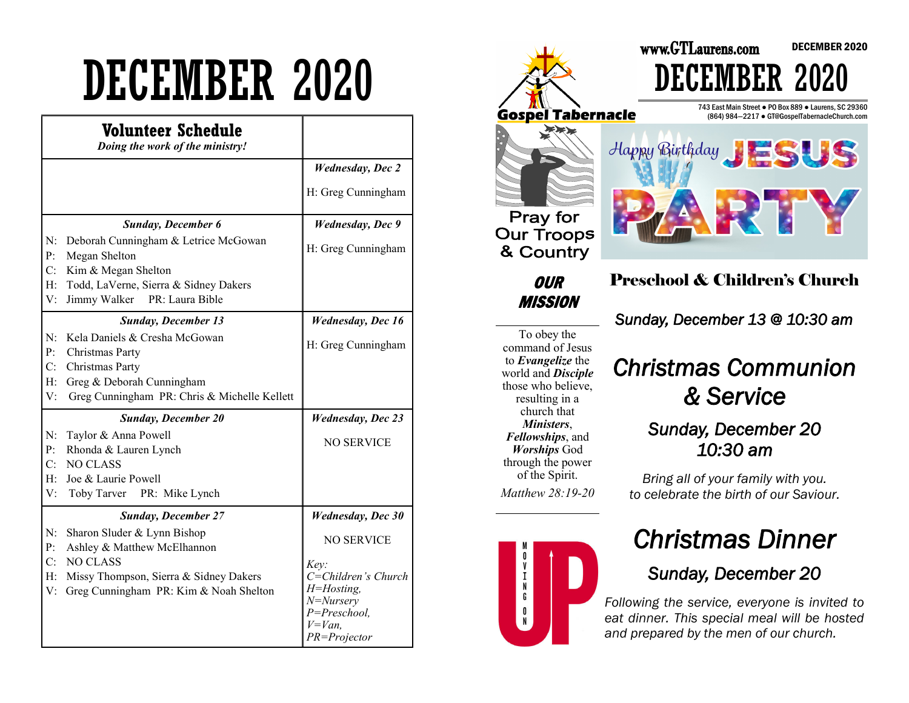# DECEMBER 2020

|                               | Volunteer Schedule<br>Doing the work of the ministry!                                                                                                                                           |                                                                                                                                                              |
|-------------------------------|-------------------------------------------------------------------------------------------------------------------------------------------------------------------------------------------------|--------------------------------------------------------------------------------------------------------------------------------------------------------------|
|                               |                                                                                                                                                                                                 | <b>Wednesday</b> , Dec 2<br>H: Greg Cunningham                                                                                                               |
| N:<br>P:<br>C:<br>H:<br>V:    | <b>Sunday, December 6</b><br>Deborah Cunningham & Letrice McGowan<br>Megan Shelton<br>Kim & Megan Shelton<br>Todd, LaVerne, Sierra & Sidney Dakers<br>Jimmy Walker<br>PR: Laura Bible           | <b>Wednesday</b> , Dec 9<br>H: Greg Cunningham                                                                                                               |
| N:<br>P:<br>C:<br>$H$ :<br>V: | <b>Sunday, December 13</b><br>Kela Daniels & Cresha McGowan<br>Christmas Party<br>Christmas Party<br>Greg & Deborah Cunningham<br>Greg Cunningham PR: Chris & Michelle Kellett                  | <b>Wednesday</b> , Dec 16<br>H: Greg Cunningham                                                                                                              |
| N:<br>P:<br>C:<br>H:<br>V:    | <b>Sunday, December 20</b><br>Taylor & Anna Powell<br>Rhonda & Lauren Lynch<br><b>NO CLASS</b><br>Joe & Laurie Powell<br>Toby Tarver PR: Mike Lynch                                             | <b>Wednesday</b> , Dec 23<br><b>NO SERVICE</b>                                                                                                               |
| N:<br>P:<br>C:<br>H:<br>V:    | <b>Sunday, December 27</b><br>Sharon Sluder & Lynn Bishop<br>Ashley & Matthew McElhannon<br><b>NO CLASS</b><br>Missy Thompson, Sierra & Sidney Dakers<br>Greg Cunningham PR: Kim & Noah Shelton | <b>Wednesday</b> , Dec 30<br><b>NO SERVICE</b><br>Key:<br>C=Children's Church<br>$H = H$ osting,<br>N=Nursery<br>P=Preschool,<br>$V = Van$ ,<br>PR=Projector |



To obey the command of Jesus to *Evangelize* the world and *Disciple*  those who believe, resulting in a church that *Ministers*, *Fellowships*, and *Worships* God through the power of the Spirit. *Matthew 28:19-20* 



### *Christmas Communion & Service*

#### *Sunday, December 20 10:30 am*

*Bring all of your family with you. to celebrate the birth of our Saviour.* 

### *Christmas Dinner*

### *Sunday, December 20*

*Following the service, everyone is invited to eat dinner. This special meal will be hosted and prepared by the men of our church.*